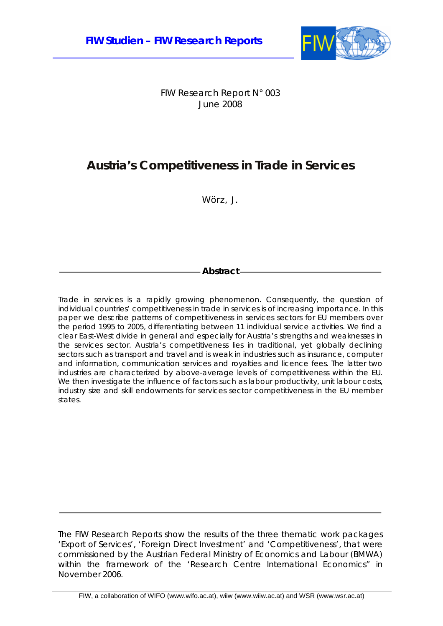

FIW Research Report N° 003 June 2008

# **Austria's Competitiveness in Trade in Services**

Wörz, J.

## **Abstract**

Trade in services is a rapidly growing phenomenon. Consequently, the question of individual countries' competitiveness in trade in services is of increasing importance. In this paper we describe patterns of competitiveness in services sectors for EU members over the period 1995 to 2005, differentiating between 11 individual service activities. We find a clear East-West divide in general and especially for Austria's strengths and weaknesses in the services sector. Austria's competitiveness lies in traditional, yet globally declining sectors such as transport and travel and is weak in industries such as insurance, computer and information, communication services and royalties and licence fees. The latter two industries are characterized by above-average levels of competitiveness within the EU. We then investigate the influence of factors such as labour productivity, unit labour costs, industry size and skill endowments for services sector competitiveness in the EU member states.

The FIW Research Reports show the results of the three thematic work packages 'Export of Services', 'Foreign Direct Investment' and 'Competitiveness', that were commissioned by the Austrian Federal Ministry of Economics and Labour (BMWA) within the framework of the 'Research Centre International Economics" in November 2006.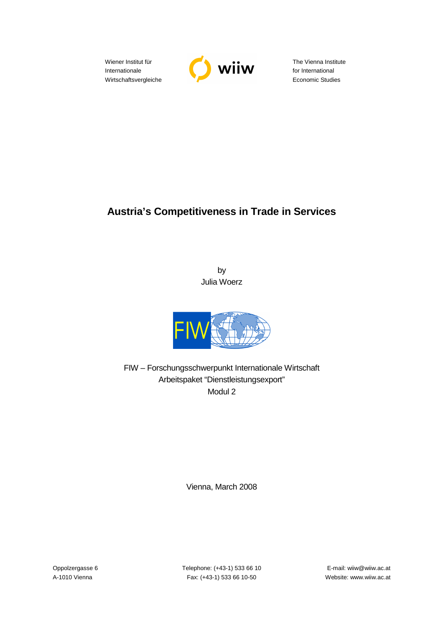Wiener Institut für Internationale Wirtschaftsvergleiche



The Vienna Institute for International Economic Studies

## **Austria's Competitiveness in Trade in Services**

by Julia Woerz



FIW – Forschungsschwerpunkt Internationale Wirtschaft Arbeitspaket "Dienstleistungsexport" Modul 2

Vienna, March 2008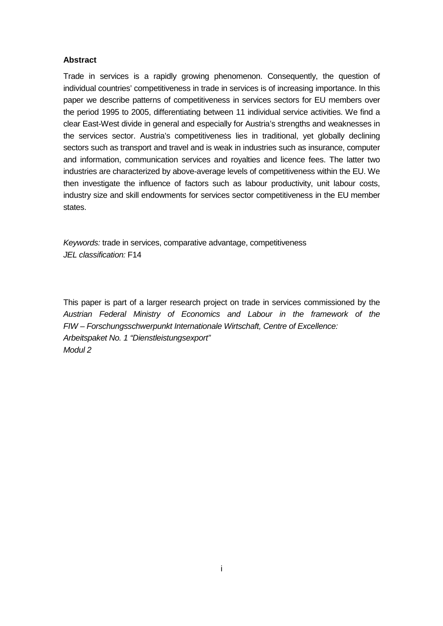## **Abstract**

Trade in services is a rapidly growing phenomenon. Consequently, the question of individual countries' competitiveness in trade in services is of increasing importance. In this paper we describe patterns of competitiveness in services sectors for EU members over the period 1995 to 2005, differentiating between 11 individual service activities. We find a clear East-West divide in general and especially for Austria's strengths and weaknesses in the services sector. Austria's competitiveness lies in traditional, yet globally declining sectors such as transport and travel and is weak in industries such as insurance, computer and information, communication services and royalties and licence fees. The latter two industries are characterized by above-average levels of competitiveness within the EU. We then investigate the influence of factors such as labour productivity, unit labour costs, industry size and skill endowments for services sector competitiveness in the EU member states.

Keywords: trade in services, comparative advantage, competitiveness JEL classification: F14

This paper is part of a larger research project on trade in services commissioned by the Austrian Federal Ministry of Economics and Labour in the framework of the FIW – Forschungsschwerpunkt Internationale Wirtschaft, Centre of Excellence: Arbeitspaket No. 1 "Dienstleistungsexport" Modul 2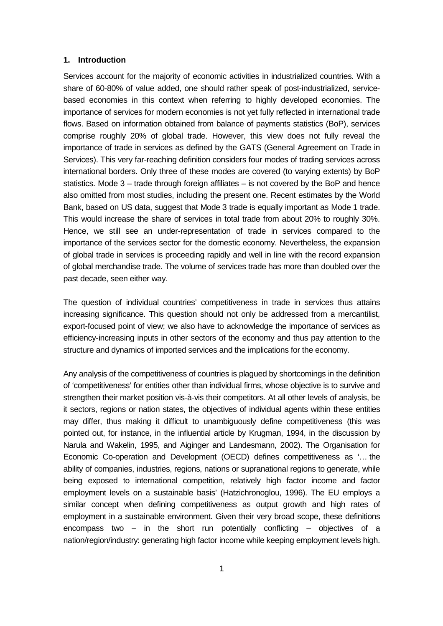#### **1. Introduction**

Services account for the majority of economic activities in industrialized countries. With a share of 60-80% of value added, one should rather speak of post-industrialized, servicebased economies in this context when referring to highly developed economies. The importance of services for modern economies is not yet fully reflected in international trade flows. Based on information obtained from balance of payments statistics (BoP), services comprise roughly 20% of global trade. However, this view does not fully reveal the importance of trade in services as defined by the GATS (General Agreement on Trade in Services). This very far-reaching definition considers four modes of trading services across international borders. Only three of these modes are covered (to varying extents) by BoP statistics. Mode 3 – trade through foreign affiliates – is not covered by the BoP and hence also omitted from most studies, including the present one. Recent estimates by the World Bank, based on US data, suggest that Mode 3 trade is equally important as Mode 1 trade. This would increase the share of services in total trade from about 20% to roughly 30%. Hence, we still see an under-representation of trade in services compared to the importance of the services sector for the domestic economy. Nevertheless, the expansion of global trade in services is proceeding rapidly and well in line with the record expansion of global merchandise trade. The volume of services trade has more than doubled over the past decade, seen either way.

The question of individual countries' competitiveness in trade in services thus attains increasing significance. This question should not only be addressed from a mercantilist, export-focused point of view; we also have to acknowledge the importance of services as efficiency-increasing inputs in other sectors of the economy and thus pay attention to the structure and dynamics of imported services and the implications for the economy.

Any analysis of the competitiveness of countries is plagued by shortcomings in the definition of 'competitiveness' for entities other than individual firms, whose objective is to survive and strengthen their market position vis-à-vis their competitors. At all other levels of analysis, be it sectors, regions or nation states, the objectives of individual agents within these entities may differ, thus making it difficult to unambiguously define competitiveness (this was pointed out, for instance, in the influential article by Krugman, 1994, in the discussion by Narula and Wakelin, 1995, and Aiginger and Landesmann, 2002). The Organisation for Economic Co-operation and Development (OECD) defines competitiveness as '… the ability of companies, industries, regions, nations or supranational regions to generate, while being exposed to international competition, relatively high factor income and factor employment levels on a sustainable basis' (Hatzichronoglou, 1996). The EU employs a similar concept when defining competitiveness as output growth and high rates of employment in a sustainable environment. Given their very broad scope, these definitions encompass two – in the short run potentially conflicting – objectives of a nation/region/industry: generating high factor income while keeping employment levels high.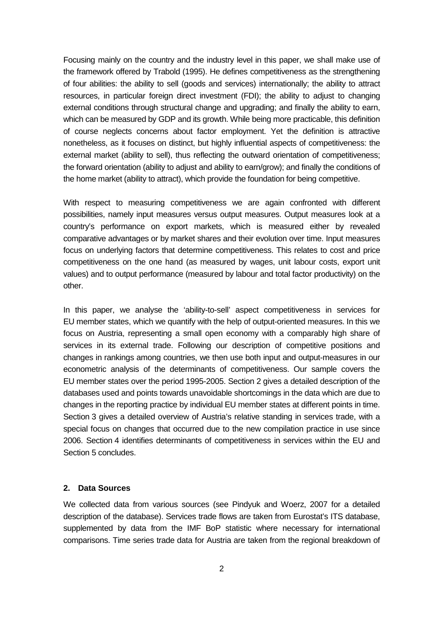Focusing mainly on the country and the industry level in this paper, we shall make use of the framework offered by Trabold (1995). He defines competitiveness as the strengthening of four abilities: the ability to sell (goods and services) internationally; the ability to attract resources, in particular foreign direct investment (FDI); the ability to adjust to changing external conditions through structural change and upgrading; and finally the ability to earn, which can be measured by GDP and its growth. While being more practicable, this definition of course neglects concerns about factor employment. Yet the definition is attractive nonetheless, as it focuses on distinct, but highly influential aspects of competitiveness: the external market (ability to sell), thus reflecting the outward orientation of competitiveness; the forward orientation (ability to adjust and ability to earn/grow); and finally the conditions of the home market (ability to attract), which provide the foundation for being competitive.

With respect to measuring competitiveness we are again confronted with different possibilities, namely input measures versus output measures. Output measures look at a country's performance on export markets, which is measured either by revealed comparative advantages or by market shares and their evolution over time. Input measures focus on underlying factors that determine competitiveness. This relates to cost and price competitiveness on the one hand (as measured by wages, unit labour costs, export unit values) and to output performance (measured by labour and total factor productivity) on the other.

In this paper, we analyse the 'ability-to-sell' aspect competitiveness in services for EU member states, which we quantify with the help of output-oriented measures. In this we focus on Austria, representing a small open economy with a comparably high share of services in its external trade. Following our description of competitive positions and changes in rankings among countries, we then use both input and output-measures in our econometric analysis of the determinants of competitiveness. Our sample covers the EU member states over the period 1995-2005. Section 2 gives a detailed description of the databases used and points towards unavoidable shortcomings in the data which are due to changes in the reporting practice by individual EU member states at different points in time. Section 3 gives a detailed overview of Austria's relative standing in services trade, with a special focus on changes that occurred due to the new compilation practice in use since 2006. Section 4 identifies determinants of competitiveness in services within the EU and Section 5 concludes.

## **2. Data Sources**

We collected data from various sources (see Pindyuk and Woerz, 2007 for a detailed description of the database). Services trade flows are taken from Eurostat's ITS database, supplemented by data from the IMF BoP statistic where necessary for international comparisons. Time series trade data for Austria are taken from the regional breakdown of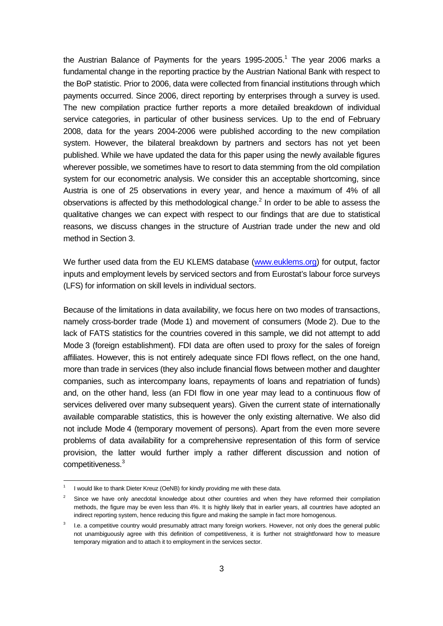the Austrian Balance of Payments for the years  $1995-2005$ .<sup>1</sup> The year 2006 marks a fundamental change in the reporting practice by the Austrian National Bank with respect to the BoP statistic. Prior to 2006, data were collected from financial institutions through which payments occurred. Since 2006, direct reporting by enterprises through a survey is used. The new compilation practice further reports a more detailed breakdown of individual service categories, in particular of other business services. Up to the end of February 2008, data for the years 2004-2006 were published according to the new compilation system. However, the bilateral breakdown by partners and sectors has not yet been published. While we have updated the data for this paper using the newly available figures wherever possible, we sometimes have to resort to data stemming from the old compilation system for our econometric analysis. We consider this an acceptable shortcoming, since Austria is one of 25 observations in every year, and hence a maximum of 4% of all observations is affected by this methodological change.<sup>2</sup> In order to be able to assess the qualitative changes we can expect with respect to our findings that are due to statistical reasons, we discuss changes in the structure of Austrian trade under the new and old method in Section 3.

We further used data from the EU KLEMS database (www.euklems.org) for output, factor inputs and employment levels by serviced sectors and from Eurostat's labour force surveys (LFS) for information on skill levels in individual sectors.

Because of the limitations in data availability, we focus here on two modes of transactions, namely cross-border trade (Mode 1) and movement of consumers (Mode 2). Due to the lack of FATS statistics for the countries covered in this sample, we did not attempt to add Mode 3 (foreign establishment). FDI data are often used to proxy for the sales of foreign affiliates. However, this is not entirely adequate since FDI flows reflect, on the one hand, more than trade in services (they also include financial flows between mother and daughter companies, such as intercompany loans, repayments of loans and repatriation of funds) and, on the other hand, less (an FDI flow in one year may lead to a continuous flow of services delivered over many subsequent years). Given the current state of internationally available comparable statistics, this is however the only existing alternative. We also did not include Mode 4 (temporary movement of persons). Apart from the even more severe problems of data availability for a comprehensive representation of this form of service provision, the latter would further imply a rather different discussion and notion of competitiveness.<sup>3</sup>

l

<sup>1</sup> I would like to thank Dieter Kreuz (OeNB) for kindly providing me with these data.

<sup>2</sup> Since we have only anecdotal knowledge about other countries and when they have reformed their compilation methods, the figure may be even less than 4%. It is highly likely that in earlier years, all countries have adopted an indirect reporting system, hence reducing this figure and making the sample in fact more homogenous.

<sup>3</sup> I.e. a competitive country would presumably attract many foreign workers. However, not only does the general public not unambiguously agree with this definition of competitiveness, it is further not straightforward how to measure temporary migration and to attach it to employment in the services sector.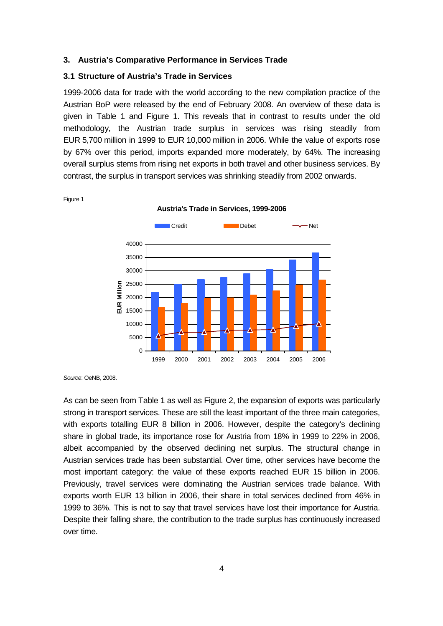#### **3. Austria's Comparative Performance in Services Trade**

### **3.1 Structure of Austria's Trade in Services**

1999-2006 data for trade with the world according to the new compilation practice of the Austrian BoP were released by the end of February 2008. An overview of these data is given in Table 1 and Figure 1. This reveals that in contrast to results under the old methodology, the Austrian trade surplus in services was rising steadily from EUR 5,700 million in 1999 to EUR 10,000 million in 2006. While the value of exports rose by 67% over this period, imports expanded more moderately, by 64%. The increasing overall surplus stems from rising net exports in both travel and other business services. By contrast, the surplus in transport services was shrinking steadily from 2002 onwards.

**Austria's Trade in Services, 1999-2006** 



Figure 1

Source: OeNB, 2008.

As can be seen from Table 1 as well as Figure 2, the expansion of exports was particularly strong in transport services. These are still the least important of the three main categories, with exports totalling EUR 8 billion in 2006. However, despite the category's declining share in global trade, its importance rose for Austria from 18% in 1999 to 22% in 2006, albeit accompanied by the observed declining net surplus. The structural change in Austrian services trade has been substantial. Over time, other services have become the most important category: the value of these exports reached EUR 15 billion in 2006. Previously, travel services were dominating the Austrian services trade balance. With exports worth EUR 13 billion in 2006, their share in total services declined from 46% in 1999 to 36%. This is not to say that travel services have lost their importance for Austria. Despite their falling share, the contribution to the trade surplus has continuously increased over time.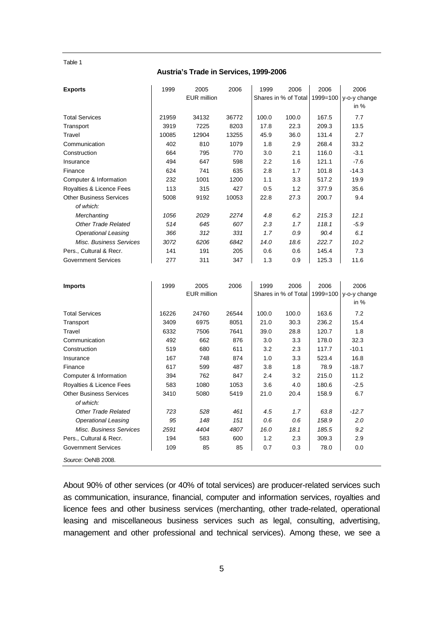Table 1

#### **Austria's Trade in Services, 1999-2006**

| <b>Exports</b>                              | 1999  | 2005               | 2006  | 1999  | 2006                 | 2006     | 2006                  |
|---------------------------------------------|-------|--------------------|-------|-------|----------------------|----------|-----------------------|
|                                             |       | <b>EUR million</b> |       |       | Shares in % of Total | 1999=100 | y-o-y change          |
|                                             |       |                    |       |       |                      |          | in $%$                |
| <b>Total Services</b>                       | 21959 | 34132              | 36772 | 100.0 | 100.0                | 167.5    | 7.7                   |
| Transport                                   | 3919  | 7225               | 8203  | 17.8  | 22.3                 | 209.3    | 13.5                  |
| Travel                                      | 10085 | 12904              | 13255 | 45.9  | 36.0                 | 131.4    | 2.7                   |
| Communication                               | 402   | 810                | 1079  | 1.8   | 2.9                  | 268.4    | 33.2                  |
| Construction                                | 664   | 795                | 770   | 3.0   | 2.1                  | 116.0    | $-3.1$                |
| Insurance                                   | 494   | 647                | 598   | 2.2   | 1.6                  | 121.1    | $-7.6$                |
| Finance                                     | 624   | 741                | 635   | 2.8   | 1.7                  | 101.8    | $-14.3$               |
| Computer & Information                      | 232   | 1001               | 1200  | 1.1   | 3.3                  | 517.2    | 19.9                  |
| Royalties & Licence Fees                    | 113   | 315                | 427   | 0.5   | 1.2                  | 377.9    | 35.6                  |
| <b>Other Business Services</b><br>of which: | 5008  | 9192               | 10053 | 22.8  | 27.3                 | 200.7    | 9.4                   |
| Merchanting                                 | 1056  | 2029               | 2274  | 4.8   | 6.2                  | 215.3    | 12.1                  |
| <b>Other Trade Related</b>                  | 514   | 645                | 607   | 2.3   | 1.7                  | 118.1    | $-5.9$                |
| <b>Operational Leasing</b>                  | 366   | 312                | 331   | 1.7   | 0.9                  | 90.4     | 6.1                   |
| Misc. Business Services                     | 3072  | 6206               | 6842  | 14.0  | 18.6                 | 222.7    | 10.2                  |
| Pers., Cultural & Recr.                     | 141   | 191                | 205   | 0.6   | 0.6                  | 145.4    | 7.3                   |
| <b>Government Services</b>                  | 277   | 311                | 347   | 1.3   | 0.9                  | 125.3    | 11.6                  |
|                                             |       |                    |       |       |                      |          |                       |
| <b>Imports</b>                              | 1999  | 2005               | 2006  | 1999  | 2006                 | 2006     | 2006                  |
|                                             |       | <b>EUR million</b> |       |       | Shares in % of Total |          | 1999=100 y-o-y change |
|                                             |       |                    |       |       |                      |          | in $%$                |
| <b>Total Services</b>                       | 16226 | 24760              | 26544 | 100.0 | 100.0                | 163.6    | 7.2                   |
| Transport                                   | 3409  | 6975               | 8051  | 21.0  | 30.3                 | 236.2    | 15.4                  |
| Travel                                      | 6332  | 7506               | 7641  | 39.0  | 28.8                 | 120.7    | 1.8                   |
| Communication                               | 492   | 662                | 876   | 3.0   | 3.3                  | 178.0    | 32.3                  |
| Construction                                | 519   | 680                | 611   | 3.2   | 2.3                  | 117.7    | $-10.1$               |
| Insurance                                   | 167   | 748                | 874   | 1.0   | 3.3                  | 523.4    | 16.8                  |
| Finance                                     | 617   | 599                | 487   | 3.8   | 1.8                  | 78.9     | $-18.7$               |
| Computer & Information                      | 394   | 762                | 847   | 2.4   | 3.2                  | 215.0    | 11.2                  |
| Royalties & Licence Fees                    | 583   | 1080               | 1053  | 3.6   | 4.0                  | 180.6    | $-2.5$                |
| <b>Other Business Services</b>              | 3410  | 5080               | 5419  | 21.0  | 20.4                 | 158.9    | 6.7                   |
| of which:                                   |       |                    |       |       |                      |          |                       |
| <b>Other Trade Related</b>                  | 723   | 528                | 461   | 4.5   | 1.7                  | 63.8     | $-12.7$               |
| <b>Operational Leasing</b>                  | 95    | 148                | 151   | 0.6   | 0.6                  | 158.9    | 2.0                   |
| Misc. Business Services                     | 2591  | 4404               | 4807  | 16.0  | 18.1                 | 185.5    | 9.2                   |
| Pers., Cultural & Recr.                     | 194   | 583                | 600   | 1.2   | 2.3                  | 309.3    | 2.9                   |
| <b>Government Services</b>                  | 109   | 85                 | 85    | 0.7   | 0.3                  | 78.0     | 0.0                   |
| Source: OeNB 2008.                          |       |                    |       |       |                      |          |                       |

About 90% of other services (or 40% of total services) are producer-related services such as communication, insurance, financial, computer and information services, royalties and licence fees and other business services (merchanting, other trade-related, operational leasing and miscellaneous business services such as legal, consulting, advertising, management and other professional and technical services). Among these, we see a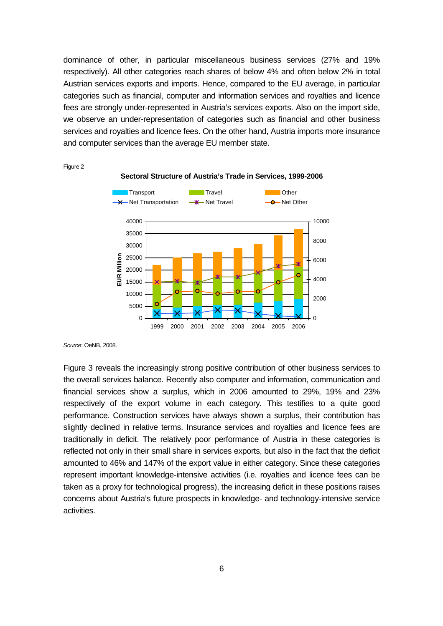dominance of other, in particular miscellaneous business services (27% and 19% respectively). All other categories reach shares of below 4% and often below 2% in total Austrian services exports and imports. Hence, compared to the EU average, in particular categories such as financial, computer and information services and royalties and licence fees are strongly under-represented in Austria's services exports. Also on the import side, we observe an under-representation of categories such as financial and other business services and royalties and licence fees. On the other hand, Austria imports more insurance and computer services than the average EU member state.



Figure 2

Source: OeNB, 2008.

Figure 3 reveals the increasingly strong positive contribution of other business services to the overall services balance. Recently also computer and information, communication and financial services show a surplus, which in 2006 amounted to 29%, 19% and 23% respectively of the export volume in each category. This testifies to a quite good performance. Construction services have always shown a surplus, their contribution has slightly declined in relative terms. Insurance services and royalties and licence fees are traditionally in deficit. The relatively poor performance of Austria in these categories is reflected not only in their small share in services exports, but also in the fact that the deficit amounted to 46% and 147% of the export value in either category. Since these categories represent important knowledge-intensive activities (i.e. royalties and licence fees can be taken as a proxy for technological progress), the increasing deficit in these positions raises concerns about Austria's future prospects in knowledge- and technology-intensive service activities.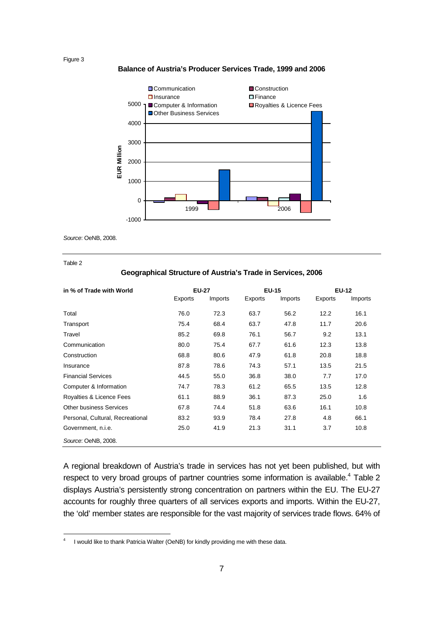Figure 3



### **Balance of Austria's Producer Services Trade, 1999 and 2006**

Source: OeNB, 2008.

Table 2

-

#### **Geographical Structure of Austria's Trade in Services, 2006**

| in % of Trade with World         | <b>EU-27</b> |         | <b>EU-15</b> |         | <b>EU-12</b> |                |
|----------------------------------|--------------|---------|--------------|---------|--------------|----------------|
|                                  | Exports      | Imports | Exports      | Imports | Exports      | <b>Imports</b> |
| Total                            | 76.0         | 72.3    | 63.7         | 56.2    | 12.2         | 16.1           |
| Transport                        | 75.4         | 68.4    | 63.7         | 47.8    | 11.7         | 20.6           |
| Travel                           | 85.2         | 69.8    | 76.1         | 56.7    | 9.2          | 13.1           |
| Communication                    | 80.0         | 75.4    | 67.7         | 61.6    | 12.3         | 13.8           |
| Construction                     | 68.8         | 80.6    | 47.9         | 61.8    | 20.8         | 18.8           |
| Insurance                        | 87.8         | 78.6    | 74.3         | 57.1    | 13.5         | 21.5           |
| <b>Financial Services</b>        | 44.5         | 55.0    | 36.8         | 38.0    | 7.7          | 17.0           |
| Computer & Information           | 74.7         | 78.3    | 61.2         | 65.5    | 13.5         | 12.8           |
| Royalties & Licence Fees         | 61.1         | 88.9    | 36.1         | 87.3    | 25.0         | 1.6            |
| <b>Other business Services</b>   | 67.8         | 74.4    | 51.8         | 63.6    | 16.1         | 10.8           |
| Personal, Cultural, Recreational | 83.2         | 93.9    | 78.4         | 27.8    | 4.8          | 66.1           |
| Government, n.i.e.               | 25.0         | 41.9    | 21.3         | 31.1    | 3.7          | 10.8           |
| Source: OeNB, 2008.              |              |         |              |         |              |                |

A regional breakdown of Austria's trade in services has not yet been published, but with respect to very broad groups of partner countries some information is available.<sup>4</sup> Table 2 displays Austria's persistently strong concentration on partners within the EU. The EU-27 accounts for roughly three quarters of all services exports and imports. Within the EU-27, the 'old' member states are responsible for the vast majority of services trade flows. 64% of

<sup>4</sup> I would like to thank Patricia Walter (OeNB) for kindly providing me with these data.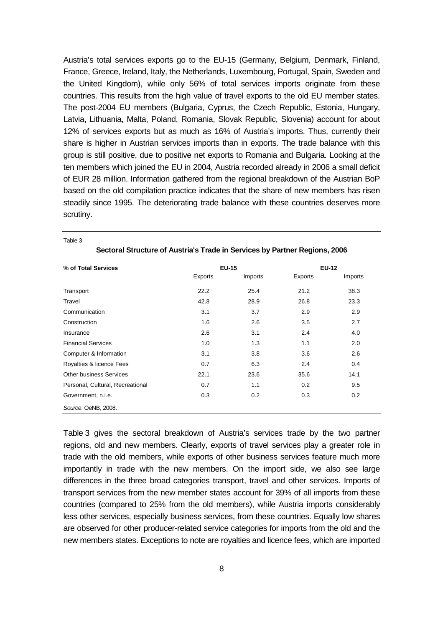Austria's total services exports go to the EU-15 (Germany, Belgium, Denmark, Finland, France, Greece, Ireland, Italy, the Netherlands, Luxembourg, Portugal, Spain, Sweden and the United Kingdom), while only 56% of total services imports originate from these countries. This results from the high value of travel exports to the old EU member states. The post-2004 EU members (Bulgaria, Cyprus, the Czech Republic, Estonia, Hungary, Latvia, Lithuania, Malta, Poland, Romania, Slovak Republic, Slovenia) account for about 12% of services exports but as much as 16% of Austria's imports. Thus, currently their share is higher in Austrian services imports than in exports. The trade balance with this group is still positive, due to positive net exports to Romania and Bulgaria. Looking at the ten members which joined the EU in 2004, Austria recorded already in 2006 a small deficit of EUR 28 million. Information gathered from the regional breakdown of the Austrian BoP based on the old compilation practice indicates that the share of new members has risen steadily since 1995. The deteriorating trade balance with these countries deserves more scrutiny.

| % of Total Services              |         | <b>EU-15</b> | <b>EU-12</b> |         |
|----------------------------------|---------|--------------|--------------|---------|
|                                  | Exports | Imports      | Exports      | Imports |
| Transport                        | 22.2    | 25.4         | 21.2         | 38.3    |
| Travel                           | 42.8    | 28.9         | 26.8         | 23.3    |
| Communication                    | 3.1     | 3.7          | 2.9          | 2.9     |
| Construction                     | 1.6     | 2.6          | 3.5          | 2.7     |
| Insurance                        | 2.6     | 3.1          | 2.4          | 4.0     |
| <b>Financial Services</b>        | 1.0     | 1.3          | 1.1          | 2.0     |
| Computer & Information           | 3.1     | 3.8          | 3.6          | 2.6     |
| Royalties & licence Fees         | 0.7     | 6.3          | 2.4          | 0.4     |
| Other business Services          | 22.1    | 23.6         | 35.6         | 14.1    |
| Personal, Cultural, Recreational | 0.7     | 1.1          | 0.2          | 9.5     |
| Government, n.i.e.               | 0.3     | 0.2          | 0.3          | 0.2     |
| Source: OeNB, 2008.              |         |              |              |         |

**Sectoral Structure of Austria's Trade in Services by Partner Regions, 2006** 

Table 3

Table 3 gives the sectoral breakdown of Austria's services trade by the two partner regions, old and new members. Clearly, exports of travel services play a greater role in trade with the old members, while exports of other business services feature much more importantly in trade with the new members. On the import side, we also see large differences in the three broad categories transport, travel and other services. Imports of transport services from the new member states account for 39% of all imports from these countries (compared to 25% from the old members), while Austria imports considerably less other services, especially business services, from these countries. Equally low shares are observed for other producer-related service categories for imports from the old and the new members states. Exceptions to note are royalties and licence fees, which are imported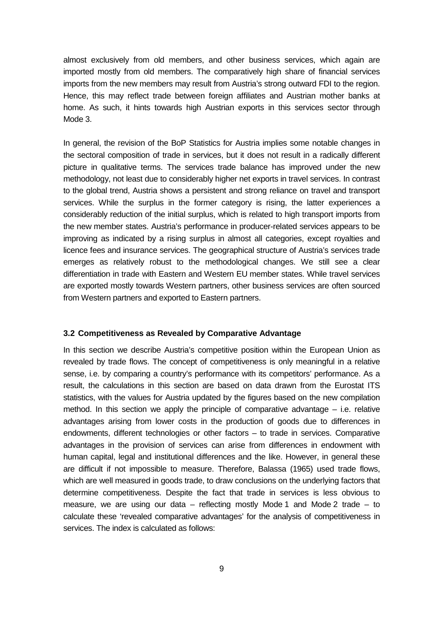almost exclusively from old members, and other business services, which again are imported mostly from old members. The comparatively high share of financial services imports from the new members may result from Austria's strong outward FDI to the region. Hence, this may reflect trade between foreign affiliates and Austrian mother banks at home. As such, it hints towards high Austrian exports in this services sector through Mode 3.

In general, the revision of the BoP Statistics for Austria implies some notable changes in the sectoral composition of trade in services, but it does not result in a radically different picture in qualitative terms. The services trade balance has improved under the new methodology, not least due to considerably higher net exports in travel services. In contrast to the global trend, Austria shows a persistent and strong reliance on travel and transport services. While the surplus in the former category is rising, the latter experiences a considerably reduction of the initial surplus, which is related to high transport imports from the new member states. Austria's performance in producer-related services appears to be improving as indicated by a rising surplus in almost all categories, except royalties and licence fees and insurance services. The geographical structure of Austria's services trade emerges as relatively robust to the methodological changes. We still see a clear differentiation in trade with Eastern and Western EU member states. While travel services are exported mostly towards Western partners, other business services are often sourced from Western partners and exported to Eastern partners.

## **3.2 Competitiveness as Revealed by Comparative Advantage**

In this section we describe Austria's competitive position within the European Union as revealed by trade flows. The concept of competitiveness is only meaningful in a relative sense, i.e. by comparing a country's performance with its competitors' performance. As a result, the calculations in this section are based on data drawn from the Eurostat ITS statistics, with the values for Austria updated by the figures based on the new compilation method. In this section we apply the principle of comparative advantage  $-$  i.e. relative advantages arising from lower costs in the production of goods due to differences in endowments, different technologies or other factors – to trade in services. Comparative advantages in the provision of services can arise from differences in endowment with human capital, legal and institutional differences and the like. However, in general these are difficult if not impossible to measure. Therefore, Balassa (1965) used trade flows, which are well measured in goods trade, to draw conclusions on the underlying factors that determine competitiveness. Despite the fact that trade in services is less obvious to measure, we are using our data – reflecting mostly Mode 1 and Mode 2 trade – to calculate these 'revealed comparative advantages' for the analysis of competitiveness in services. The index is calculated as follows: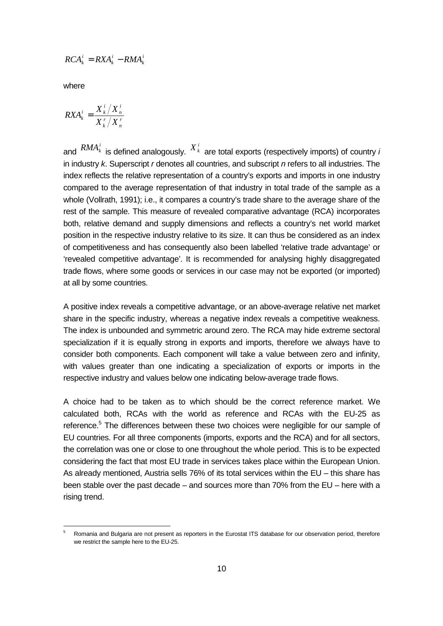$$
RCA_k^i = RXA_k^i - RMA_k^i
$$

where

l

$$
RXA_k^i = \frac{X_k^i / X_n^i}{X_k^r / X_n^r}
$$

and  $\overline{RMA}_k^i$  is defined analogously.  $X_k^i$  are total exports (respectively imports) of country *i* in industry  $k$ . Superscript r denotes all countries, and subscript  $n$  refers to all industries. The index reflects the relative representation of a country's exports and imports in one industry compared to the average representation of that industry in total trade of the sample as a whole (Vollrath, 1991); i.e., it compares a country's trade share to the average share of the rest of the sample. This measure of revealed comparative advantage (RCA) incorporates both, relative demand and supply dimensions and reflects a country's net world market position in the respective industry relative to its size. It can thus be considered as an index of competitiveness and has consequently also been labelled 'relative trade advantage' or 'revealed competitive advantage'. It is recommended for analysing highly disaggregated trade flows, where some goods or services in our case may not be exported (or imported) at all by some countries.

A positive index reveals a competitive advantage, or an above-average relative net market share in the specific industry, whereas a negative index reveals a competitive weakness. The index is unbounded and symmetric around zero. The RCA may hide extreme sectoral specialization if it is equally strong in exports and imports, therefore we always have to consider both components. Each component will take a value between zero and infinity, with values greater than one indicating a specialization of exports or imports in the respective industry and values below one indicating below-average trade flows.

A choice had to be taken as to which should be the correct reference market. We calculated both, RCAs with the world as reference and RCAs with the EU-25 as reference.<sup>5</sup> The differences between these two choices were negligible for our sample of EU countries. For all three components (imports, exports and the RCA) and for all sectors, the correlation was one or close to one throughout the whole period. This is to be expected considering the fact that most EU trade in services takes place within the European Union. As already mentioned, Austria sells 76% of its total services within the EU – this share has been stable over the past decade – and sources more than 70% from the EU – here with a rising trend.

<sup>5</sup> Romania and Bulgaria are not present as reporters in the Eurostat ITS database for our observation period, therefore we restrict the sample here to the EU-25.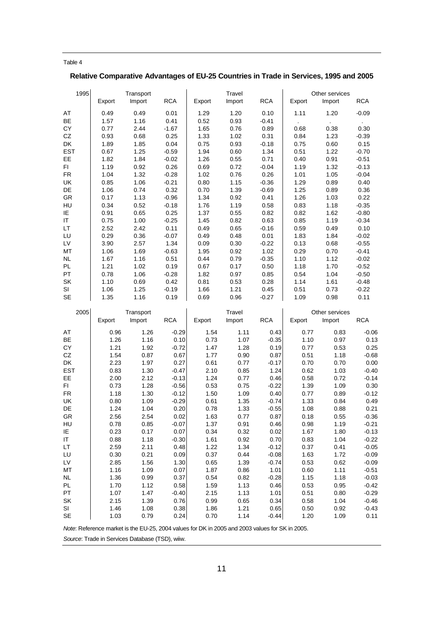#### Table 4

## **Relative Comparative Advantages of EU-25 Countries in Trade in Services, 1995 and 2005**

| 1995            |              | Transport           |                    |              | Travel       |                 |              | Other services |                 |
|-----------------|--------------|---------------------|--------------------|--------------|--------------|-----------------|--------------|----------------|-----------------|
|                 | Export       | Import              | <b>RCA</b>         | Export       | Import       | <b>RCA</b>      | Export       | Import         | <b>RCA</b>      |
|                 |              |                     |                    |              |              |                 |              |                |                 |
| AT              | 0.49         | 0.49                | 0.01               | 1.29         | 1.20         | 0.10            | 1.11         | 1.20           | $-0.09$         |
| BE              | 1.57         | 1.16                | 0.41               | 0.52         | 0.93         | $-0.41$         |              |                |                 |
| CY              | 0.77         | 2.44                | $-1.67$            | 1.65         | 0.76         | 0.89            | 0.68         | 0.38           | 0.30            |
| CZ<br>DK        | 0.93<br>1.89 | 0.68<br>1.85        | 0.25<br>0.04       | 1.33<br>0.75 | 1.02         | 0.31            | 0.84         | 1.23           | $-0.39$<br>0.15 |
| <b>EST</b>      | 0.67         | 1.25                | $-0.59$            | 1.94         | 0.93<br>0.60 | $-0.18$<br>1.34 | 0.75<br>0.51 | 0.60<br>1.22   | $-0.70$         |
| EE              | 1.82         | 1.84                | $-0.02$            | 1.26         | 0.55         | 0.71            | 0.40         | 0.91           | $-0.51$         |
| FI              | 1.19         | 0.92                | 0.26               | 0.69         | 0.72         | $-0.04$         | 1.19         | 1.32           | $-0.13$         |
| <b>FR</b>       | 1.04         | 1.32                | $-0.28$            | 1.02         | 0.76         | 0.26            | 1.01         | 1.05           | $-0.04$         |
| UK              | 0.85         | 1.06                | $-0.21$            | 0.80         | 1.15         | $-0.36$         | 1.29         | 0.89           | 0.40            |
| DE              | 1.06         | 0.74                | 0.32               | 0.70         | 1.39         | $-0.69$         | 1.25         | 0.89           | 0.36            |
| GR              | 0.17         | 1.13                | $-0.96$            | 1.34         | 0.92         | 0.41            | 1.26         | 1.03           | 0.22            |
| HU              | 0.34         | 0.52                | $-0.18$            | 1.76         | 1.19         | 0.58            | 0.83         | 1.18           | $-0.35$         |
| IE              | 0.91         | 0.65                | 0.25               | 1.37         | 0.55         | 0.82            | 0.82         | 1.62           | $-0.80$         |
| ΙT              | 0.75         | 1.00                | $-0.25$            | 1.45         | 0.82         | 0.63            | 0.85         | 1.19           | $-0.34$         |
| LT              | 2.52         | 2.42                | 0.11               | 0.49         | 0.65         | $-0.16$         | 0.59         | 0.49           | 0.10            |
| LU              | 0.29         | 0.36                | $-0.07$            | 0.49         | 0.48         | 0.01            | 1.83         | 1.84           | $-0.02$         |
| LV              | 3.90         | 2.57                | 1.34               | 0.09         | 0.30         | $-0.22$         | 0.13         | 0.68           | $-0.55$         |
| MT              | 1.06         | 1.69                | $-0.63$            | 1.95         | 0.92         | 1.02            | 0.29         | 0.70           | $-0.41$         |
| <b>NL</b>       | 1.67         | 1.16                | 0.51               | 0.44         | 0.79         | $-0.35$         | 1.10         | 1.12           | $-0.02$         |
| PL              | 1.21         | 1.02                | 0.19               | 0.67         | 0.17         | 0.50            | 1.18         | 1.70           | $-0.52$         |
| PT              | 0.78         | 1.06                | $-0.28$            | 1.82         | 0.97         | 0.85            | 0.54         | 1.04           | $-0.50$         |
| SK              | 1.10         | 0.69                | 0.42               | 0.81         | 0.53         | 0.28            | 1.14         | 1.61           | $-0.48$         |
| SI              | 1.06         | 1.25                | $-0.19$            | 1.66         | 1.21         | 0.45            | 0.51         | 0.73           | $-0.22$         |
| <b>SE</b>       | 1.35         | 1.16                | 0.19               | 0.69         | 0.96         | $-0.27$         | 1.09         | 0.98           | 0.11            |
| 2005            |              |                     |                    |              | Travel       |                 |              | Other services |                 |
|                 | Export       | Transport<br>Import | <b>RCA</b>         | Export       | Import       | <b>RCA</b>      | Export       | Import         | <b>RCA</b>      |
|                 |              |                     |                    |              |              |                 |              |                |                 |
| AT              | 0.96         | 1.26                | $-0.29$            | 1.54         | 1.11         | 0.43            | 0.77         | 0.83           | $-0.06$         |
| BE              | 1.26         | 1.16                | 0.10               | 0.73         | 1.07         | $-0.35$         | 1.10         | 0.97           | 0.13            |
| СY              | 1.21         | 1.92                | $-0.72$            | 1.47         | 1.28         | 0.19            | 0.77         | 0.53           | 0.25            |
| CZ              | 1.54         | 0.87                | 0.67               | 1.77         | 0.90         | 0.87            | 0.51         | 1.18           | $-0.68$         |
| DK              | 2.23         | 1.97                | 0.27               | 0.61         | 0.77         | $-0.17$         | 0.70         | 0.70           | 0.00            |
| <b>EST</b>      | 0.83         | 1.30                | $-0.47$            | 2.10         | 0.85         | 1.24            | 0.62         | 1.03           | $-0.40$         |
| EE              | 2.00         | 2.12                | $-0.13$            | 1.24         | 0.77         | 0.46            | 0.58         | 0.72           | -0.14           |
| FI<br><b>FR</b> | 0.73         | 1.28                | $-0.56$            | 0.53         | 0.75         | $-0.22$         | 1.39         | 1.09           | 0.30            |
| UK              | 1.18<br>0.80 | 1.30<br>1.09        | $-0.12$<br>$-0.29$ | 1.50<br>0.61 | 1.09<br>1.35 | 0.40<br>$-0.74$ | 0.77<br>1.33 | 0.89<br>0.84   | $-0.12$<br>0.49 |
| DE              | 1.24         | 1.04                | 0.20               | 0.78         | 1.33         | $-0.55$         | 1.08         | 0.88           | 0.21            |
| GR              | 2.56         | 2.54                | 0.02               | 1.63         | 0.77         | 0.87            | 0.18         | 0.55           | $-0.36$         |
| HU              | 0.78         | 0.85                | $-0.07$            | 1.37         | 0.91         | 0.46            | 0.98         | 1.19           | $-0.21$         |
| ΙE              | 0.23         | 0.17                | 0.07               | 0.34         | 0.32         | 0.02            | 1.67         | 1.80           | $-0.13$         |
| ΙT              | 0.88         | 1.18                | $-0.30$            | 1.61         | 0.92         | 0.70            | 0.83         | 1.04           | $-0.22$         |
| LТ              | 2.59         | 2.11                | 0.48               | 1.22         | 1.34         | $-0.12$         | 0.37         | 0.41           | $-0.05$         |
| LU              | 0.30         | 0.21                | 0.09               | 0.37         | 0.44         | $-0.08$         | 1.63         | 1.72           | $-0.09$         |
| LV              | 2.85         | 1.56                | 1.30               | 0.65         | 1.39         | $-0.74$         | 0.53         | 0.62           | $-0.09$         |
| MT              | 1.16         | 1.09                | 0.07               | 1.87         | 0.86         | 1.01            | 0.60         | 1.11           | $-0.51$         |
| NL              | 1.36         | 0.99                | 0.37               | 0.54         | 0.82         | $-0.28$         | 1.15         | 1.18           | $-0.03$         |
| PL              |              |                     |                    |              |              | 0.46            | 0.53         | 0.95           | $-0.42$         |
|                 | 1.70         | 1.12                | 0.58               | 1.59         | 1.13         |                 |              |                |                 |
| PT              | 1.07         | 1.47                | $-0.40$            | 2.15         | 1.13         | 1.01            | 0.51         | 0.80           | $-0.29$         |
| SK              | 2.15         | 1.39                | 0.76               | 0.99         | 0.65         | 0.34            | 0.58         | 1.04           | $-0.46$         |
| SI              | 1.46         | 1.08                | 0.38               | 1.86         | 1.21         | 0.65            | 0.50         | 0.92           | $-0.43$         |

Note: Reference market is the EU-25, 2004 values for DK in 2005 and 2003 values for SK in 2005.

Source: Trade in Services Database (TSD), wiiw.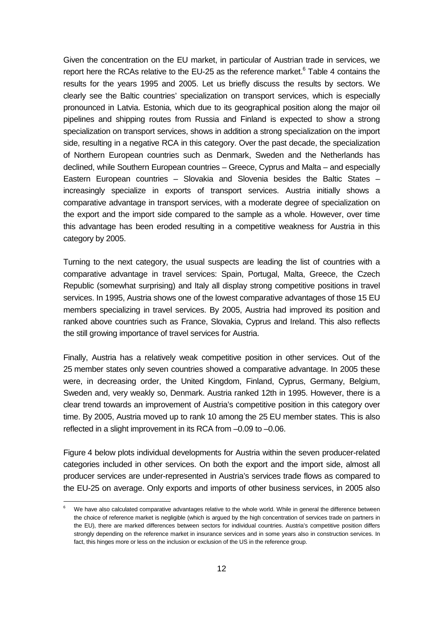Given the concentration on the EU market, in particular of Austrian trade in services, we report here the RCAs relative to the EU-25 as the reference market.<sup>6</sup> Table 4 contains the results for the years 1995 and 2005. Let us briefly discuss the results by sectors. We clearly see the Baltic countries' specialization on transport services, which is especially pronounced in Latvia. Estonia, which due to its geographical position along the major oil pipelines and shipping routes from Russia and Finland is expected to show a strong specialization on transport services, shows in addition a strong specialization on the import side, resulting in a negative RCA in this category. Over the past decade, the specialization of Northern European countries such as Denmark, Sweden and the Netherlands has declined, while Southern European countries – Greece, Cyprus and Malta – and especially Eastern European countries – Slovakia and Slovenia besides the Baltic States – increasingly specialize in exports of transport services. Austria initially shows a comparative advantage in transport services, with a moderate degree of specialization on the export and the import side compared to the sample as a whole. However, over time this advantage has been eroded resulting in a competitive weakness for Austria in this category by 2005.

Turning to the next category, the usual suspects are leading the list of countries with a comparative advantage in travel services: Spain, Portugal, Malta, Greece, the Czech Republic (somewhat surprising) and Italy all display strong competitive positions in travel services. In 1995, Austria shows one of the lowest comparative advantages of those 15 EU members specializing in travel services. By 2005, Austria had improved its position and ranked above countries such as France, Slovakia, Cyprus and Ireland. This also reflects the still growing importance of travel services for Austria.

Finally, Austria has a relatively weak competitive position in other services. Out of the 25 member states only seven countries showed a comparative advantage. In 2005 these were, in decreasing order, the United Kingdom, Finland, Cyprus, Germany, Belgium, Sweden and, very weakly so, Denmark. Austria ranked 12th in 1995. However, there is a clear trend towards an improvement of Austria's competitive position in this category over time. By 2005, Austria moved up to rank 10 among the 25 EU member states. This is also reflected in a slight improvement in its RCA from –0.09 to –0.06.

Figure 4 below plots individual developments for Austria within the seven producer-related categories included in other services. On both the export and the import side, almost all producer services are under-represented in Austria's services trade flows as compared to the EU-25 on average. Only exports and imports of other business services, in 2005 also

l

<sup>6</sup> We have also calculated comparative advantages relative to the whole world. While in general the difference between the choice of reference market is negligible (which is argued by the high concentration of services trade on partners in the EU), there are marked differences between sectors for individual countries. Austria's competitive position differs strongly depending on the reference market in insurance services and in some years also in construction services. In fact, this hinges more or less on the inclusion or exclusion of the US in the reference group.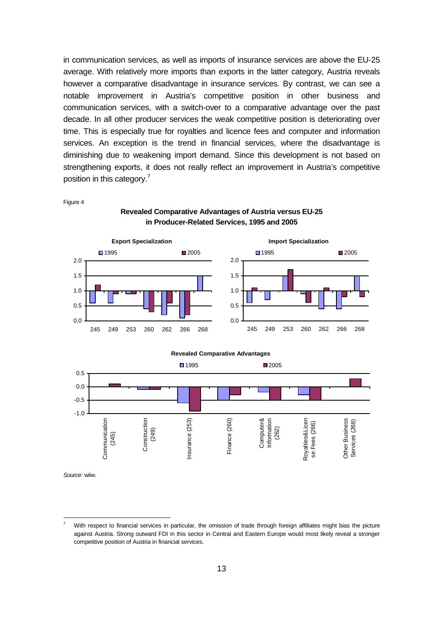in communication services, as well as imports of insurance services are above the EU-25 average. With relatively more imports than exports in the latter category, Austria reveals however a comparative disadvantage in insurance services. By contrast, we can see a notable improvement in Austria's competitive position in other business and communication services, with a switch-over to a comparative advantage over the past decade. In all other producer services the weak competitive position is deteriorating over time. This is especially true for royalties and licence fees and computer and information services. An exception is the trend in financial services, where the disadvantage is diminishing due to weakening import demand. Since this development is not based on strengthening exports, it does not really reflect an improvement in Austria's competitive position in this category.<sup>7</sup>

Figure 4

**Revealed Comparative Advantages of Austria versus EU-25 in Producer-Related Services, 1995 and 2005** 





Source: wiiw.

l

<sup>7</sup> With respect to financial services in particular, the omission of trade through foreign affiliates might bias the picture against Austria. Strong outward FDI in this sector in Central and Eastern Europe would most likely reveal a stronger competitive position of Austria in financial services.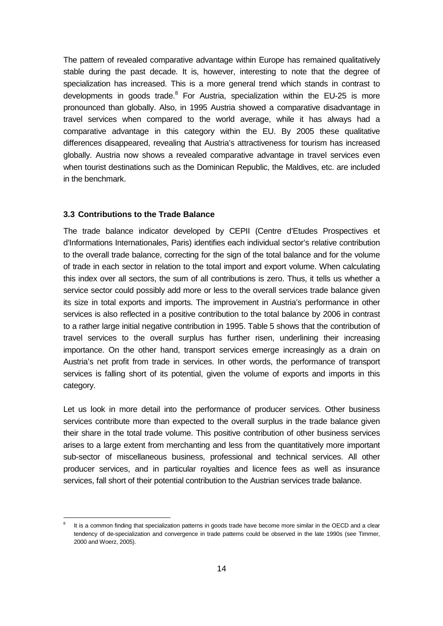The pattern of revealed comparative advantage within Europe has remained qualitatively stable during the past decade. It is, however, interesting to note that the degree of specialization has increased. This is a more general trend which stands in contrast to developments in goods trade.<sup>8</sup> For Austria, specialization within the EU-25 is more pronounced than globally. Also, in 1995 Austria showed a comparative disadvantage in travel services when compared to the world average, while it has always had a comparative advantage in this category within the EU. By 2005 these qualitative differences disappeared, revealing that Austria's attractiveness for tourism has increased globally. Austria now shows a revealed comparative advantage in travel services even when tourist destinations such as the Dominican Republic, the Maldives, etc. are included in the benchmark.

### **3.3 Contributions to the Trade Balance**

l

The trade balance indicator developed by CEPII (Centre d'Etudes Prospectives et d'Informations Internationales, Paris) identifies each individual sector's relative contribution to the overall trade balance, correcting for the sign of the total balance and for the volume of trade in each sector in relation to the total import and export volume. When calculating this index over all sectors, the sum of all contributions is zero. Thus, it tells us whether a service sector could possibly add more or less to the overall services trade balance given its size in total exports and imports. The improvement in Austria's performance in other services is also reflected in a positive contribution to the total balance by 2006 in contrast to a rather large initial negative contribution in 1995. Table 5 shows that the contribution of travel services to the overall surplus has further risen, underlining their increasing importance. On the other hand, transport services emerge increasingly as a drain on Austria's net profit from trade in services. In other words, the performance of transport services is falling short of its potential, given the volume of exports and imports in this category.

Let us look in more detail into the performance of producer services. Other business services contribute more than expected to the overall surplus in the trade balance given their share in the total trade volume. This positive contribution of other business services arises to a large extent from merchanting and less from the quantitatively more important sub-sector of miscellaneous business, professional and technical services. All other producer services, and in particular royalties and licence fees as well as insurance services, fall short of their potential contribution to the Austrian services trade balance.

<sup>8</sup> It is a common finding that specialization patterns in goods trade have become more similar in the OECD and a clear tendency of de-specialization and convergence in trade patterns could be observed in the late 1990s (see Timmer, 2000 and Woerz, 2005).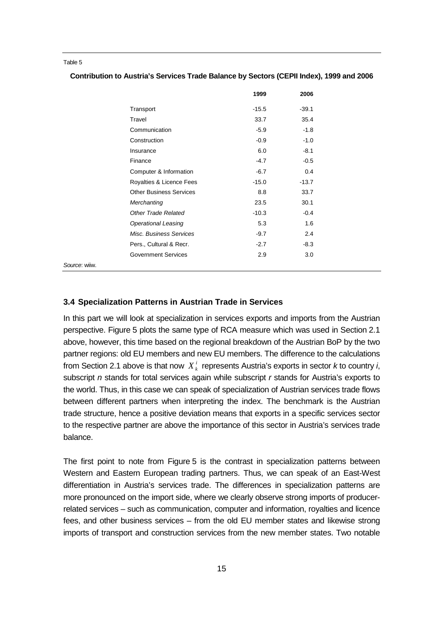#### Table 5

|                                | 1999    | 2006    |
|--------------------------------|---------|---------|
| Transport                      | $-15.5$ | $-39.1$ |
| Travel                         | 33.7    | 35.4    |
| Communication                  | -5.9    | -1.8    |
| Construction                   | $-0.9$  | $-1.0$  |
| Insurance                      | 6.0     | $-8.1$  |
| Finance                        | $-4.7$  | $-0.5$  |
| Computer & Information         | $-6.7$  | 0.4     |
| Royalties & Licence Fees       | $-15.0$ | $-13.7$ |
| <b>Other Business Services</b> | 8.8     | 33.7    |
| Merchanting                    | 23.5    | 30.1    |
| Other Trade Related            | $-10.3$ | $-0.4$  |
| <b>Operational Leasing</b>     | 5.3     | 1.6     |
| Misc. Business Services        | $-9.7$  | 2.4     |
| Pers., Cultural & Recr.        | $-2.7$  | $-8.3$  |
| <b>Government Services</b>     | 2.9     | 3.0     |
|                                |         |         |

Source: wiiw.

#### **3.4 Specialization Patterns in Austrian Trade in Services**

In this part we will look at specialization in services exports and imports from the Austrian perspective. Figure 5 plots the same type of RCA measure which was used in Section 2.1 above, however, this time based on the regional breakdown of the Austrian BoP by the two partner regions: old EU members and new EU members. The difference to the calculations from Section 2.1 above is that now  $X_k^i$  represents Austria's exports in sector  $k$  to country i, subscript  $n$  stands for total services again while subscript  $r$  stands for Austria's exports to the world. Thus, in this case we can speak of specialization of Austrian services trade flows between different partners when interpreting the index. The benchmark is the Austrian trade structure, hence a positive deviation means that exports in a specific services sector to the respective partner are above the importance of this sector in Austria's services trade balance.

The first point to note from Figure 5 is the contrast in specialization patterns between Western and Eastern European trading partners. Thus, we can speak of an East-West differentiation in Austria's services trade. The differences in specialization patterns are more pronounced on the import side, where we clearly observe strong imports of producerrelated services – such as communication, computer and information, royalties and licence fees, and other business services – from the old EU member states and likewise strong imports of transport and construction services from the new member states. Two notable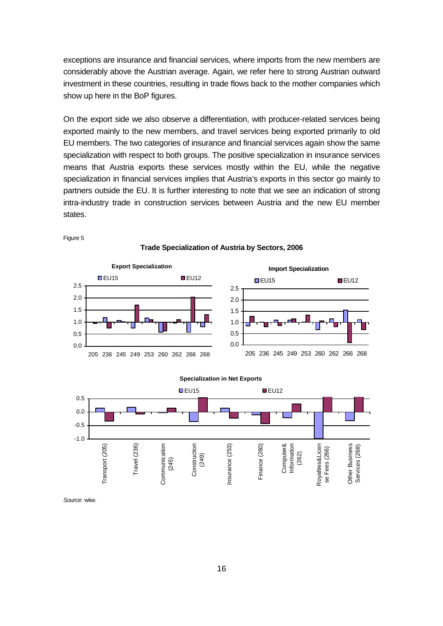exceptions are insurance and financial services, where imports from the new members are considerably above the Austrian average. Again, we refer here to strong Austrian outward investment in these countries, resulting in trade flows back to the mother companies which show up here in the BoP figures.

On the export side we also observe a differentiation, with producer-related services being exported mainly to the new members, and travel services being exported primarily to old EU members. The two categories of insurance and financial services again show the same specialization with respect to both groups. The positive specialization in insurance services means that Austria exports these services mostly within the EU, while the negative specialization in financial services implies that Austria's exports in this sector go mainly to partners outside the EU. It is further interesting to note that we see an indication of strong intra-industry trade in construction services between Austria and the new EU member states.



Figure 5

**Trade Specialization of Austria by Sectors, 2006** 

#### **Specialization in Net Exports**



Source: wiiw.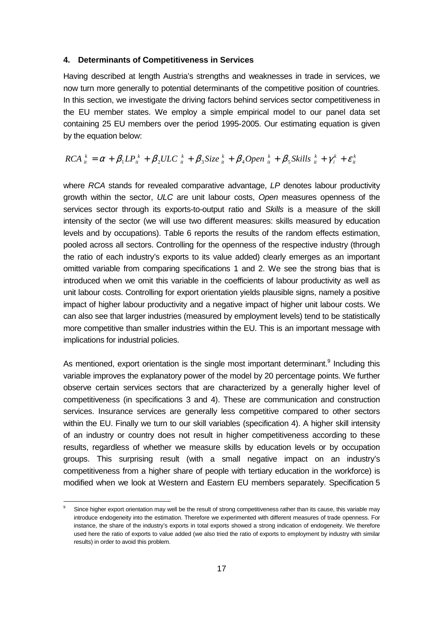#### **4. Determinants of Competitiveness in Services**

Having described at length Austria's strengths and weaknesses in trade in services, we now turn more generally to potential determinants of the competitive position of countries. In this section, we investigate the driving factors behind services sector competitiveness in the EU member states. We employ a simple empirical model to our panel data set containing 25 EU members over the period 1995-2005. Our estimating equation is given by the equation below:

$$
RCA_{it}^{k} = \alpha + \beta_1 LP_{it}^{k} + \beta_2 ULC_{it}^{k} + \beta_3 Size_{it}^{k} + \beta_4 Open_{it}^{k} + \beta_5 Skills_{it}^{k} + \gamma_i^{k} + \varepsilon_{it}^{k}
$$

where RCA stands for revealed comparative advantage, LP denotes labour productivity growth within the sector, ULC are unit labour costs, Open measures openness of the services sector through its exports-to-output ratio and Skills is a measure of the skill intensity of the sector (we will use two different measures: skills measured by education levels and by occupations). Table 6 reports the results of the random effects estimation, pooled across all sectors. Controlling for the openness of the respective industry (through the ratio of each industry's exports to its value added) clearly emerges as an important omitted variable from comparing specifications 1 and 2. We see the strong bias that is introduced when we omit this variable in the coefficients of labour productivity as well as unit labour costs. Controlling for export orientation yields plausible signs, namely a positive impact of higher labour productivity and a negative impact of higher unit labour costs. We can also see that larger industries (measured by employment levels) tend to be statistically more competitive than smaller industries within the EU. This is an important message with implications for industrial policies.

As mentioned, export orientation is the single most important determinant.<sup>9</sup> Including this variable improves the explanatory power of the model by 20 percentage points. We further observe certain services sectors that are characterized by a generally higher level of competitiveness (in specifications 3 and 4). These are communication and construction services. Insurance services are generally less competitive compared to other sectors within the EU. Finally we turn to our skill variables (specification 4). A higher skill intensity of an industry or country does not result in higher competitiveness according to these results, regardless of whether we measure skills by education levels or by occupation groups. This surprising result (with a small negative impact on an industry's competitiveness from a higher share of people with tertiary education in the workforce) is modified when we look at Western and Eastern EU members separately. Specification 5

l

<sup>9</sup> Since higher export orientation may well be the result of strong competitiveness rather than its cause, this variable may introduce endogeneity into the estimation. Therefore we experimented with different measures of trade openness. For instance, the share of the industry's exports in total exports showed a strong indication of endogeneity. We therefore used here the ratio of exports to value added (we also tried the ratio of exports to employment by industry with similar results) in order to avoid this problem.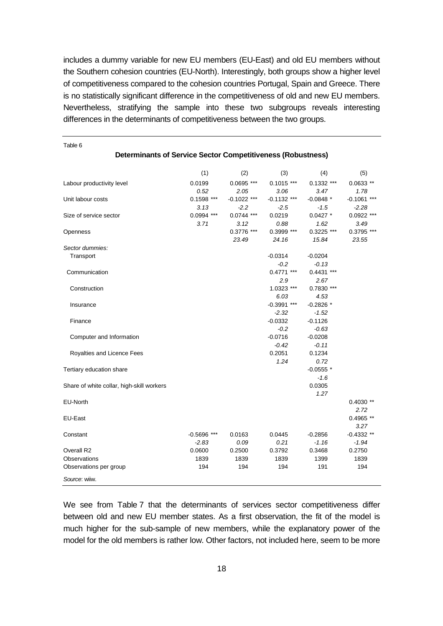includes a dummy variable for new EU members (EU-East) and old EU members without the Southern cohesion countries (EU-North). Interestingly, both groups show a higher level of competitiveness compared to the cohesion countries Portugal, Spain and Greece. There is no statistically significant difference in the competitiveness of old and new EU members. Nevertheless, stratifying the sample into these two subgroups reveals interesting differences in the determinants of competitiveness between the two groups.

**Determinants of Service Sector Competitiveness (Robustness)** 

|                                           | (1)           | (2)           | (3)           | (4)          | (5)           |
|-------------------------------------------|---------------|---------------|---------------|--------------|---------------|
| Labour productivity level                 | 0.0199        | $0.0695$ ***  | $0.1015$ ***  | $0.1332$ *** | $0.0633**$    |
|                                           | 0.52          | 2.05          | 3.06          | 3.47         | 1.78          |
| Unit labour costs                         | $0.1598$ ***  | $-0.1022$ *** | $-0.1132$ *** | $-0.0848$ *  | $-0.1061$ *** |
|                                           | 3.13          | $-2.2$        | $-2.5$        | $-1.5$       | $-2.28$       |
| Size of service sector                    | $0.0994$ ***  | $0.0744$ ***  | 0.0219        | $0.0427$ *   | $0.0922$ ***  |
|                                           | 3.71          | 3.12          | 0.88          | 1.62         | 3.49          |
| Openness                                  |               | 0.3776 ***    | 0.3999 ***    | $0.3225$ *** | $0.3795$ ***  |
|                                           |               | 23.49         | 24.16         | 15.84        | 23.55         |
| Sector dummies:                           |               |               |               |              |               |
| Transport                                 |               |               | $-0.0314$     | $-0.0204$    |               |
|                                           |               |               | $-0.2$        | $-0.13$      |               |
| Communication                             |               |               | $0.4771$ ***  | $0.4431$ *** |               |
|                                           |               |               | 2.9           | 2.67         |               |
| Construction                              |               |               | 1.0323 ***    | 0.7830 ***   |               |
|                                           |               |               | 6.03          | 4.53         |               |
| Insurance                                 |               |               | $-0.3991$ *** | $-0.2826$ *  |               |
|                                           |               |               | $-2.32$       | $-1.52$      |               |
| Finance                                   |               |               | $-0.0332$     | $-0.1126$    |               |
|                                           |               |               | $-0.2$        | $-0.63$      |               |
| Computer and Information                  |               |               | $-0.0716$     | $-0.0208$    |               |
|                                           |               |               | $-0.42$       | $-0.11$      |               |
| Royalties and Licence Fees                |               |               | 0.2051        | 0.1234       |               |
|                                           |               |               | 1.24          | 0.72         |               |
| Tertiary education share                  |               |               |               | $-0.0555$ *  |               |
|                                           |               |               |               | $-1.6$       |               |
| Share of white collar, high-skill workers |               |               |               | 0.0305       |               |
|                                           |               |               |               | 1.27         |               |
| EU-North                                  |               |               |               |              | $0.4030**$    |
|                                           |               |               |               |              | 2.72          |
| EU-East                                   |               |               |               |              | 0.4965 **     |
|                                           |               |               |               |              | 3.27          |
| Constant                                  | $-0.5696$ *** | 0.0163        | 0.0445        | $-0.2856$    | $-0.4332**$   |
|                                           | $-2.83$       | 0.09          | 0.21          | $-1.16$      | $-1.94$       |
| Overall R2                                | 0.0600        | 0.2500        | 0.3792        | 0.3468       | 0.2750        |
| Observations                              | 1839          | 1839          | 1839          | 1399         | 1839          |
| Observations per group                    | 194           | 194           | 194           | 191          | 194           |
| Source: wiiw.                             |               |               |               |              |               |

Table 6

We see from Table 7 that the determinants of services sector competitiveness differ between old and new EU member states. As a first observation, the fit of the model is much higher for the sub-sample of new members, while the explanatory power of the model for the old members is rather low. Other factors, not included here, seem to be more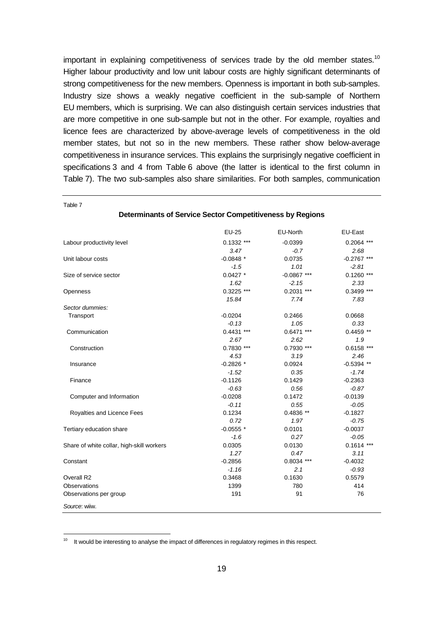important in explaining competitiveness of services trade by the old member states.<sup>10</sup> Higher labour productivity and low unit labour costs are highly significant determinants of strong competitiveness for the new members. Openness is important in both sub-samples. Industry size shows a weakly negative coefficient in the sub-sample of Northern EU members, which is surprising. We can also distinguish certain services industries that are more competitive in one sub-sample but not in the other. For example, royalties and licence fees are characterized by above-average levels of competitiveness in the old member states, but not so in the new members. These rather show below-average competitiveness in insurance services. This explains the surprisingly negative coefficient in specifications 3 and 4 from Table 6 above (the latter is identical to the first column in Table 7). The two sub-samples also share similarities. For both samples, communication

|                                           | EU-25        | EU-North      | EU-East       |
|-------------------------------------------|--------------|---------------|---------------|
|                                           |              |               |               |
| Labour productivity level                 | $0.1332$ *** | $-0.0399$     | $0.2064$ ***  |
|                                           | 3.47         | $-0.7$        | 2.68          |
| Unit labour costs                         | $-0.0848$ *  | 0.0735        | $-0.2767$ *** |
|                                           | $-1.5$       | 1.01          | $-2.81$       |
| Size of service sector                    | $0.0427$ *   | $-0.0867$ *** | $0.1260$ ***  |
|                                           | 1.62         | $-2.15$       | 2.33          |
| Openness                                  | $0.3225$ *** | $0.2031$ ***  | 0.3499 ***    |
|                                           | 15.84        | 7.74          | 7.83          |
| Sector dummies:                           |              |               |               |
| Transport                                 | $-0.0204$    | 0.2466        | 0.0668        |
|                                           | $-0.13$      | 1.05          | 0.33          |
| Communication                             | $0.4431$ *** | $0.6471$ ***  | $0.4459$ **   |
|                                           | 2.67         | 2.62          | 1.9           |
| Construction                              | 0.7830 ***   | 0.7930 ***    | $0.6158$ ***  |
|                                           | 4.53         | 3.19          | 2.46          |
| Insurance                                 | $-0.2826$ *  | 0.0924        | $-0.5394$ **  |
|                                           | $-1.52$      | 0.35          | $-1.74$       |
| Finance                                   | $-0.1126$    | 0.1429        | $-0.2363$     |
|                                           | $-0.63$      | 0.56          | $-0.87$       |
| Computer and Information                  | $-0.0208$    | 0.1472        | $-0.0139$     |
|                                           | $-0.11$      | 0.55          | $-0.05$       |
| Royalties and Licence Fees                | 0.1234       | 0.4836 **     | $-0.1827$     |
|                                           | 0.72         | 1.97          | $-0.75$       |
| Tertiary education share                  | $-0.0555$ *  | 0.0101        | $-0.0037$     |
|                                           | $-1.6$       | 0.27          | $-0.05$       |
| Share of white collar, high-skill workers | 0.0305       | 0.0130        | $0.1614$ ***  |
|                                           | 1.27         | 0.47          | 3.11          |
| Constant                                  | $-0.2856$    | $0.8034$ ***  | $-0.4032$     |
|                                           | $-1.16$      | 2.1           | $-0.93$       |
| Overall R2                                | 0.3468       | 0.1630        | 0.5579        |
| Observations                              | 1399         | 780           | 414           |
| Observations per group                    | 191          | 91            | 76            |
|                                           |              |               |               |
| Source: wiiw.                             |              |               |               |

**Determinants of Service Sector Competitiveness by Regions** 

Table 7

-

<sup>10</sup> It would be interesting to analyse the impact of differences in regulatory regimes in this respect.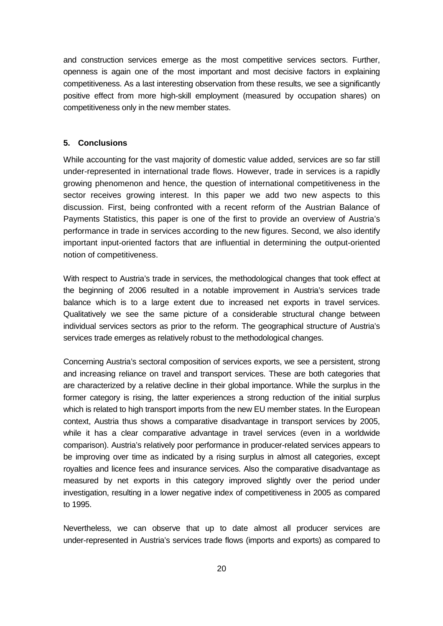and construction services emerge as the most competitive services sectors. Further, openness is again one of the most important and most decisive factors in explaining competitiveness. As a last interesting observation from these results, we see a significantly positive effect from more high-skill employment (measured by occupation shares) on competitiveness only in the new member states.

## **5. Conclusions**

While accounting for the vast majority of domestic value added, services are so far still under-represented in international trade flows. However, trade in services is a rapidly growing phenomenon and hence, the question of international competitiveness in the sector receives growing interest. In this paper we add two new aspects to this discussion. First, being confronted with a recent reform of the Austrian Balance of Payments Statistics, this paper is one of the first to provide an overview of Austria's performance in trade in services according to the new figures. Second, we also identify important input-oriented factors that are influential in determining the output-oriented notion of competitiveness.

With respect to Austria's trade in services, the methodological changes that took effect at the beginning of 2006 resulted in a notable improvement in Austria's services trade balance which is to a large extent due to increased net exports in travel services. Qualitatively we see the same picture of a considerable structural change between individual services sectors as prior to the reform. The geographical structure of Austria's services trade emerges as relatively robust to the methodological changes.

Concerning Austria's sectoral composition of services exports, we see a persistent, strong and increasing reliance on travel and transport services. These are both categories that are characterized by a relative decline in their global importance. While the surplus in the former category is rising, the latter experiences a strong reduction of the initial surplus which is related to high transport imports from the new EU member states. In the European context, Austria thus shows a comparative disadvantage in transport services by 2005, while it has a clear comparative advantage in travel services (even in a worldwide comparison). Austria's relatively poor performance in producer-related services appears to be improving over time as indicated by a rising surplus in almost all categories, except royalties and licence fees and insurance services. Also the comparative disadvantage as measured by net exports in this category improved slightly over the period under investigation, resulting in a lower negative index of competitiveness in 2005 as compared to 1995.

Nevertheless, we can observe that up to date almost all producer services are under-represented in Austria's services trade flows (imports and exports) as compared to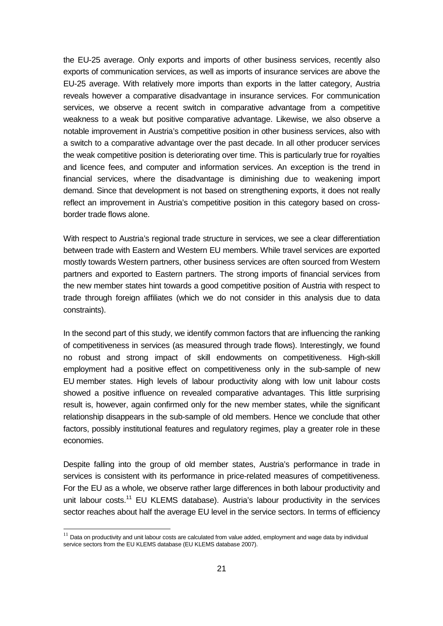the EU-25 average. Only exports and imports of other business services, recently also exports of communication services, as well as imports of insurance services are above the EU-25 average. With relatively more imports than exports in the latter category, Austria reveals however a comparative disadvantage in insurance services. For communication services, we observe a recent switch in comparative advantage from a competitive weakness to a weak but positive comparative advantage. Likewise, we also observe a notable improvement in Austria's competitive position in other business services, also with a switch to a comparative advantage over the past decade. In all other producer services the weak competitive position is deteriorating over time. This is particularly true for royalties and licence fees, and computer and information services. An exception is the trend in financial services, where the disadvantage is diminishing due to weakening import demand. Since that development is not based on strengthening exports, it does not really reflect an improvement in Austria's competitive position in this category based on crossborder trade flows alone.

With respect to Austria's regional trade structure in services, we see a clear differentiation between trade with Eastern and Western EU members. While travel services are exported mostly towards Western partners, other business services are often sourced from Western partners and exported to Eastern partners. The strong imports of financial services from the new member states hint towards a good competitive position of Austria with respect to trade through foreign affiliates (which we do not consider in this analysis due to data constraints).

In the second part of this study, we identify common factors that are influencing the ranking of competitiveness in services (as measured through trade flows). Interestingly, we found no robust and strong impact of skill endowments on competitiveness. High-skill employment had a positive effect on competitiveness only in the sub-sample of new EU member states. High levels of labour productivity along with low unit labour costs showed a positive influence on revealed comparative advantages. This little surprising result is, however, again confirmed only for the new member states, while the significant relationship disappears in the sub-sample of old members. Hence we conclude that other factors, possibly institutional features and regulatory regimes, play a greater role in these economies.

Despite falling into the group of old member states, Austria's performance in trade in services is consistent with its performance in price-related measures of competitiveness. For the EU as a whole, we observe rather large differences in both labour productivity and unit labour costs.<sup>11</sup> EU KLEMS database). Austria's labour productivity in the services sector reaches about half the average EU level in the service sectors. In terms of efficiency

-

 $11$  Data on productivity and unit labour costs are calculated from value added, employment and wage data by individual service sectors from the EU KLEMS database (EU KLEMS database 2007).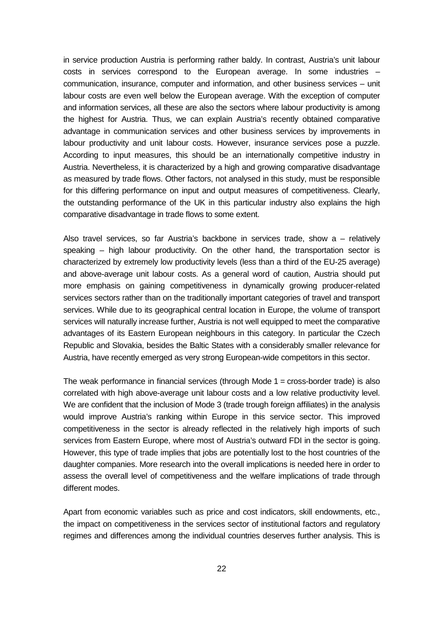in service production Austria is performing rather baldy. In contrast, Austria's unit labour costs in services correspond to the European average. In some industries – communication, insurance, computer and information, and other business services – unit labour costs are even well below the European average. With the exception of computer and information services, all these are also the sectors where labour productivity is among the highest for Austria. Thus, we can explain Austria's recently obtained comparative advantage in communication services and other business services by improvements in labour productivity and unit labour costs. However, insurance services pose a puzzle. According to input measures, this should be an internationally competitive industry in Austria. Nevertheless, it is characterized by a high and growing comparative disadvantage as measured by trade flows. Other factors, not analysed in this study, must be responsible for this differing performance on input and output measures of competitiveness. Clearly, the outstanding performance of the UK in this particular industry also explains the high comparative disadvantage in trade flows to some extent.

Also travel services, so far Austria's backbone in services trade, show a – relatively speaking – high labour productivity. On the other hand, the transportation sector is characterized by extremely low productivity levels (less than a third of the EU-25 average) and above-average unit labour costs. As a general word of caution, Austria should put more emphasis on gaining competitiveness in dynamically growing producer-related services sectors rather than on the traditionally important categories of travel and transport services. While due to its geographical central location in Europe, the volume of transport services will naturally increase further, Austria is not well equipped to meet the comparative advantages of its Eastern European neighbours in this category. In particular the Czech Republic and Slovakia, besides the Baltic States with a considerably smaller relevance for Austria, have recently emerged as very strong European-wide competitors in this sector.

The weak performance in financial services (through Mode 1 = cross-border trade) is also correlated with high above-average unit labour costs and a low relative productivity level. We are confident that the inclusion of Mode 3 (trade trough foreign affiliates) in the analysis would improve Austria's ranking within Europe in this service sector. This improved competitiveness in the sector is already reflected in the relatively high imports of such services from Eastern Europe, where most of Austria's outward FDI in the sector is going. However, this type of trade implies that jobs are potentially lost to the host countries of the daughter companies. More research into the overall implications is needed here in order to assess the overall level of competitiveness and the welfare implications of trade through different modes.

Apart from economic variables such as price and cost indicators, skill endowments, etc., the impact on competitiveness in the services sector of institutional factors and regulatory regimes and differences among the individual countries deserves further analysis. This is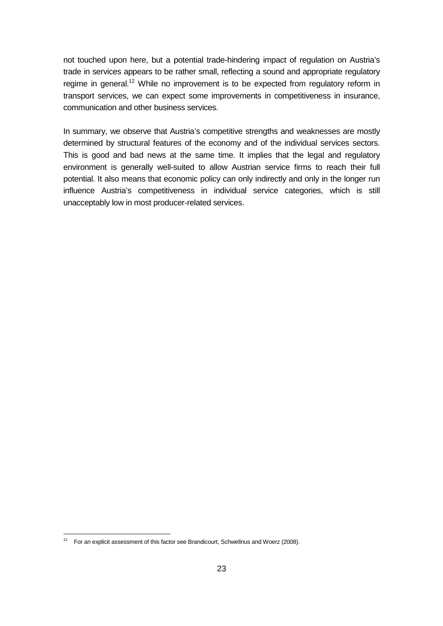not touched upon here, but a potential trade-hindering impact of regulation on Austria's trade in services appears to be rather small, reflecting a sound and appropriate regulatory regime in general.<sup>12</sup> While no improvement is to be expected from regulatory reform in transport services, we can expect some improvements in competitiveness in insurance, communication and other business services.

In summary, we observe that Austria's competitive strengths and weaknesses are mostly determined by structural features of the economy and of the individual services sectors. This is good and bad news at the same time. It implies that the legal and regulatory environment is generally well-suited to allow Austrian service firms to reach their full potential. It also means that economic policy can only indirectly and only in the longer run influence Austria's competitiveness in individual service categories, which is still unacceptably low in most producer-related services.

-

 $12$  For an explicit assessment of this factor see Brandicourt, Schwellnus and Woerz (2008).